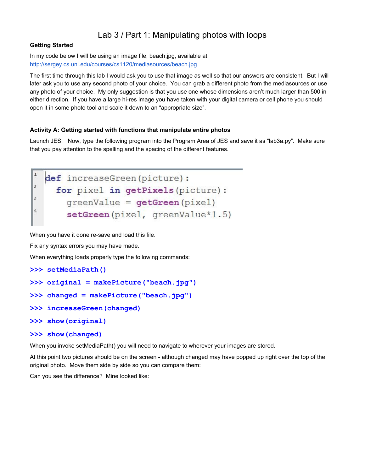# Lab 3 / Part 1: Manipulating photos with loops

## **Getting Started**

In my code below I will be using an image file, beach.jpg, available at <http://sergey.cs.uni.edu/courses/cs1120/mediasources/beach.jpg>

The first time through this lab I would ask you to use that image as well so that our answers are consistent. But I will later ask you to use any second photo of your choice. You can grab a different photo from the mediasources or use any photo of your choice. My only suggestion is that you use one whose dimensions aren't much larger than 500 in either direction. If you have a large hi-res image you have taken with your digital camera or cell phone you should open it in some photo tool and scale it down to an "appropriate size".

## **Activity A: Getting started with functions that manipulate entire photos**

Launch JES. Now, type the following program into the Program Area of JES and save it as "lab3a.py". Make sure that you pay attention to the spelling and the spacing of the different features.

```
\mathbf{I}def increaseGreen (picture):
\overline{c}for pixel in getPixels (picture) :
3
       greenValue = getGreen(pixel)\overline{4}setGreen(pixel, greenValue*1.5)
```
When you have it done re-save and load this file.

Fix any syntax errors you may have made.

When everything loads properly type the following commands:

**>>> setMediaPath()**

```
>>> original = makePicture("beach.jpg")
```

```
>>> changed = makePicture("beach.jpg")
```
- **>>> increaseGreen(changed)**
- **>>> show(original)**
- **>>> show(changed)**

When you invoke setMediaPath() you will need to navigate to wherever your images are stored.

At this point two pictures should be on the screen - although changed may have popped up right over the top of the original photo. Move them side by side so you can compare them:

Can you see the difference? Mine looked like: